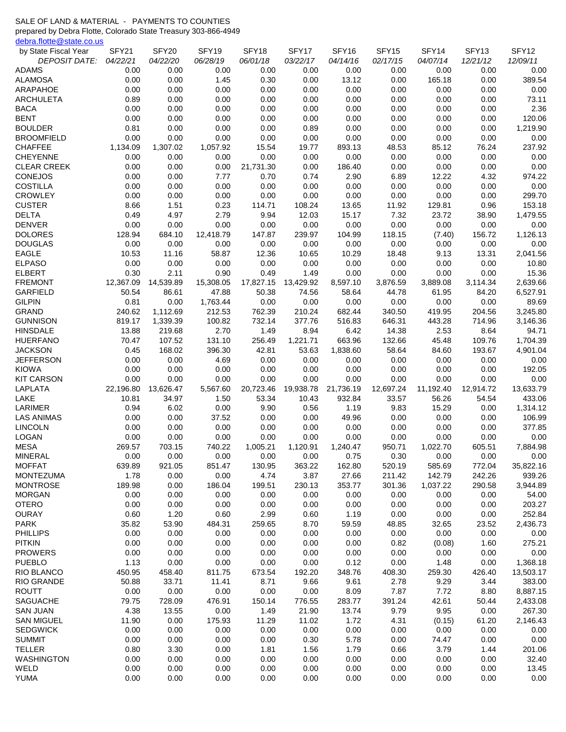## SALE OF LAND & MATERIAL - PAYMENTS TO COUNTIES

prepared by Debra Flotte, Colorado State Treasury 303-866-4949

[debra.flotte@state.co.us](mailto:debra.flotte@state.co.us#)

| <b>DEPOSIT DATE:</b><br>04/22/21<br>04/22/20<br>06/28/19<br>06/01/18<br>03/22/17<br>04/14/16<br>02/17/15<br>04/07/14<br>12/21/12<br><b>ADAMS</b><br>0.00<br>0.00<br>0.00<br>0.00<br>0.00<br>0.00<br>0.00<br>0.00<br>0.00<br>0.00<br>389.54<br><b>ALAMOSA</b><br>0.00<br>0.00<br>1.45<br>0.30<br>0.00<br>13.12<br>0.00<br>165.18<br>0.00<br><b>ARAPAHOE</b><br>0.00<br>0.00<br>0.00<br>0.00<br>0.00<br>0.00<br>0.00<br>0.00<br>0.00<br>0.00<br>0.89<br>0.00<br>0.00<br>0.00<br>0.00<br>0.00<br>0.00<br>0.00<br>0.00<br>73.11<br>ARCHULETA<br>2.36<br><b>BACA</b><br>0.00<br>0.00<br>0.00<br>0.00<br>0.00<br>0.00<br>0.00<br>0.00<br>0.00<br><b>BENT</b><br>0.00<br>0.00<br>0.00<br>0.00<br>0.00<br>0.00<br>0.00<br>0.00<br>0.00<br>120.06<br><b>BOULDER</b><br>0.81<br>0.00<br>0.00<br>0.00<br>0.89<br>0.00<br>0.00<br>0.00<br>1,219.90<br>0.00<br><b>BROOMFIELD</b><br>0.00<br>0.00<br>0.00<br>0.00<br>0.00<br>0.00<br>0.00<br>0.00<br>0.00<br>0.00<br>237.92<br><b>CHAFFEE</b><br>1,134.09<br>1,307.02<br>1,057.92<br>15.54<br>19.77<br>893.13<br>48.53<br>85.12<br>76.24<br>0.00<br>0.00<br>0.00<br>0.00<br>0.00<br>0.00<br>0.00<br><b>CHEYENNE</b><br>0.00<br>0.00<br>0.00<br><b>CLEAR CREEK</b><br>21,731.30<br>186.40<br>0.00<br>0.00<br>0.00<br>0.00<br>0.00<br>0.00<br>0.00<br>0.00<br>974.22<br><b>CONEJOS</b><br>0.00<br>0.00<br>7.77<br>0.70<br>0.74<br>2.90<br>6.89<br>12.22<br>4.32<br><b>COSTILLA</b><br>0.00<br>0.00<br>0.00<br>0.00<br>0.00<br>0.00<br>0.00<br>0.00<br>0.00<br>0.00<br><b>CROWLEY</b><br>0.00<br>0.00<br>0.00<br>0.00<br>0.00<br>0.00<br>0.00<br>299.70<br>0.00<br>0.00<br><b>CUSTER</b><br>8.66<br>1.51<br>0.23<br>114.71<br>108.24<br>13.65<br>129.81<br>153.18<br>11.92<br>0.96<br><b>DELTA</b><br>2.79<br>7.32<br>0.49<br>4.97<br>9.94<br>12.03<br>15.17<br>23.72<br>38.90<br>1,479.55<br><b>DENVER</b><br>0.00<br>0.00<br>0.00<br>0.00<br>0.00<br>0.00<br>0.00<br>0.00<br>0.00<br>0.00<br><b>DOLORES</b><br>128.94<br>684.10<br>12,418.79<br>147.87<br>239.97<br>104.99<br>118.15<br>156.72<br>1,126.13<br>(7.40)<br><b>DOUGLAS</b><br>0.00<br>0.00<br>0.00<br>0.00<br>0.00<br>0.00<br>0.00<br>0.00<br>0.00<br>0.00<br><b>EAGLE</b><br>10.53<br>11.16<br>58.87<br>12.36<br>10.65<br>10.29<br>18.48<br>9.13<br>13.31<br>2,041.56<br><b>ELPASO</b><br>0.00<br>0.00<br>0.00<br>0.00<br>0.00<br>0.00<br>10.80<br>0.00<br>0.00<br>0.00<br><b>ELBERT</b><br>0.90<br>0.00<br>15.36<br>0.30<br>2.11<br>0.49<br>1.49<br>0.00<br>0.00<br>0.00<br>2,639.66<br><b>FREMONT</b><br>12,367.09<br>14,539.89<br>15,308.05<br>17,827.15<br>13,429.92<br>8,597.10<br>3,876.59<br>3,889.08<br>3,114.34<br>6,527.91<br><b>GARFIELD</b><br>50.54<br>86.61<br>47.88<br>50.38<br>74.56<br>58.64<br>44.78<br>61.95<br>84.20<br><b>GILPIN</b><br>0.81<br>0.00<br>1,763.44<br>0.00<br>0.00<br>0.00<br>0.00<br>0.00<br>0.00<br>89.69<br>212.53<br><b>GRAND</b><br>240.62<br>1,112.69<br>762.39<br>210.24<br>682.44<br>340.50<br>419.95<br>204.56<br>3,245.80<br><b>GUNNISON</b><br>819.17<br>1,339.39<br>100.82<br>732.14<br>377.76<br>516.83<br>646.31<br>443.28<br>714.96<br>3,146.36<br>2.70<br><b>HINSDALE</b><br>13.88<br>219.68<br>1.49<br>8.94<br>6.42<br>14.38<br>2.53<br>8.64<br>94.71<br>663.96<br><b>HUERFANO</b><br>70.47<br>107.52<br>131.10<br>256.49<br>1,221.71<br>132.66<br>45.48<br>109.76<br>1,704.39<br>168.02<br><b>JACKSON</b><br>0.45<br>396.30<br>42.81<br>53.63<br>1,838.60<br>58.64<br>84.60<br>193.67<br>4,901.04<br><b>JEFFERSON</b><br>0.00<br>0.00<br>4.69<br>0.00<br>0.00<br>0.00<br>0.00<br>0.00<br>0.00<br>0.00<br><b>KIOWA</b><br>0.00<br>0.00<br>0.00<br>0.00<br>0.00<br>0.00<br>0.00<br>192.05<br>0.00<br>0.00<br><b>KIT CARSON</b><br>0.00<br>0.00<br>0.00<br>0.00<br>0.00<br>0.00<br>0.00<br>0.00<br>0.00<br>0.00<br>LAPLATA<br>22,196.80<br>13,626.47<br>5,567.60<br>20,723.46<br>19,938.78<br>21,736.19<br>12,697.24<br>11,192.40<br>12,914.72<br>13,633.79<br>LAKE<br>10.81<br>34.97<br>1.50<br>53.34<br>10.43<br>932.84<br>33.57<br>56.26<br>54.54<br>433.06<br>0.94<br>0.00<br>9.90<br>0.56<br>9.83<br>15.29<br>LARIMER<br>6.02<br>1.19<br>0.00<br>1,314.12<br><b>LAS ANIMAS</b><br>0.00<br>37.52<br>0.00<br>0.00<br>49.96<br>0.00<br>0.00<br>0.00<br>106.99<br>0.00<br><b>LINCOLN</b><br>0.00<br>0.00<br>0.00<br>0.00<br>0.00<br>377.85<br>0.00<br>0.00<br>0.00<br>0.00<br><b>LOGAN</b><br>0.00<br>0.00<br>0.00<br>0.00<br>0.00<br>0.00<br>0.00<br>0.00<br>0.00<br>0.00<br><b>MESA</b><br>269.57<br>703.15<br>740.22<br>605.51<br>7,884.98<br>1,005.21<br>1,120.91<br>1.240.47<br>950.71<br>1,022.70<br><b>MINERAL</b><br>0.00<br>0.00<br>0.30<br>0.00<br>0.00<br>0.00<br>0.75<br>0.00<br>0.00<br>0.00<br>639.89<br>921.05<br>851.47<br>130.95<br>162.80<br>772.04<br>35,822.16<br><b>MOFFAT</b><br>363.22<br>520.19<br>585.69<br>939.26<br><b>MONTEZUMA</b><br>1.78<br>0.00<br>0.00<br>4.74<br>3.87<br>27.66<br>211.42<br>142.79<br>242.26<br>353.77<br>3,944.89<br><b>MONTROSE</b><br>189.98<br>0.00<br>186.04<br>199.51<br>230.13<br>1,037.22<br>290.58<br>301.36<br><b>MORGAN</b><br>0.00<br>0.00<br>0.00<br>0.00<br>0.00<br>0.00<br>0.00<br>0.00<br>0.00<br>54.00<br><b>OTERO</b><br>0.00<br>0.00<br>0.00<br>0.00<br>0.00<br>0.00<br>0.00<br>203.27<br>0.00<br>0.00<br><b>OURAY</b><br>0.60<br>1.20<br>0.60<br>2.99<br>0.60<br>1.19<br>0.00<br>0.00<br>252.84<br>0.00<br><b>PARK</b><br>35.82<br>53.90<br>484.31<br>259.65<br>8.70<br>59.59<br>32.65<br>23.52<br>2,436.73<br>48.85<br><b>PHILLIPS</b><br>0.00<br>0.00<br>0.00<br>0.00<br>0.00<br>0.00<br>0.00<br>0.00<br>0.00<br>0.00<br><b>PITKIN</b><br>0.00<br>0.00<br>0.00<br>0.00<br>0.00<br>0.00<br>0.82<br>(0.08)<br>275.21<br>1.60<br><b>PROWERS</b><br>0.00<br>0.00<br>0.00<br>0.00<br>0.00<br>0.00<br>0.00<br>0.00<br>0.00<br>0.00<br><b>PUEBLO</b><br>1.13<br>0.00<br>0.00<br>0.00<br>0.12<br>0.00<br>1.48<br>1,368.18<br>0.00<br>0.00<br>RIO BLANCO<br>450.95<br>458.40<br>811.75<br>673.54<br>192.20<br>348.76<br>259.30<br>426.40<br>13,503.17<br>408.30<br>383.00<br><b>RIO GRANDE</b><br>50.88<br>33.71<br>11.41<br>8.71<br>9.66<br>9.61<br>2.78<br>9.29<br>3.44<br><b>ROUTT</b><br>0.00<br>0.00<br>0.00<br>0.00<br>7.87<br>8,887.15<br>0.00<br>8.09<br>7.72<br>8.80<br>SAGUACHE<br>79.75<br>728.09<br>476.91<br>150.14<br>391.24<br>42.61<br>776.55<br>283.77<br>50.44<br>2,433.08<br>9.95<br>267.30<br><b>SAN JUAN</b><br>4.38<br>13.55<br>0.00<br>1.49<br>21.90<br>13.74<br>9.79<br>0.00<br><b>SAN MIGUEL</b><br>11.90<br>0.00<br>175.93<br>11.29<br>11.02<br>1.72<br>4.31<br>(0.15)<br>61.20<br>2,146.43<br><b>SEDGWICK</b><br>0.00<br>0.00<br>0.00<br>0.00<br>0.00<br>0.00<br>0.00<br>0.00<br>0.00<br>0.00<br><b>SUMMIT</b><br>0.00<br>0.00<br>0.00<br>0.00<br>0.30<br>5.78<br>0.00<br>74.47<br>0.00<br>0.00<br><b>TELLER</b><br>0.80<br>3.30<br>0.00<br>1.81<br>1.56<br>1.79<br>3.79<br>201.06<br>0.66<br>1.44<br><b>WASHINGTON</b><br>0.00<br>0.00<br>0.00<br>0.00<br>0.00<br>32.40<br>0.00<br>0.00<br>0.00<br>0.00<br>WELD<br>0.00<br>0.00<br>0.00<br>0.00<br>0.00<br>0.00<br>0.00<br>0.00<br>0.00<br>13.45<br><b>YUMA</b><br>0.00<br>0.00<br>0.00<br>0.00<br>0.00<br>0.00<br>0.00<br>0.00<br>0.00<br>0.00 | by State Fiscal Year | SFY21 | SFY20 | SFY19 | SFY18 | SFY17 | SFY16 | SFY15 | SFY14 | SFY <sub>13</sub> | SFY12    |
|---------------------------------------------------------------------------------------------------------------------------------------------------------------------------------------------------------------------------------------------------------------------------------------------------------------------------------------------------------------------------------------------------------------------------------------------------------------------------------------------------------------------------------------------------------------------------------------------------------------------------------------------------------------------------------------------------------------------------------------------------------------------------------------------------------------------------------------------------------------------------------------------------------------------------------------------------------------------------------------------------------------------------------------------------------------------------------------------------------------------------------------------------------------------------------------------------------------------------------------------------------------------------------------------------------------------------------------------------------------------------------------------------------------------------------------------------------------------------------------------------------------------------------------------------------------------------------------------------------------------------------------------------------------------------------------------------------------------------------------------------------------------------------------------------------------------------------------------------------------------------------------------------------------------------------------------------------------------------------------------------------------------------------------------------------------------------------------------------------------------------------------------------------------------------------------------------------------------------------------------------------------------------------------------------------------------------------------------------------------------------------------------------------------------------------------------------------------------------------------------------------------------------------------------------------------------------------------------------------------------------------------------------------------------------------------------------------------------------------------------------------------------------------------------------------------------------------------------------------------------------------------------------------------------------------------------------------------------------------------------------------------------------------------------------------------------------------------------------------------------------------------------------------------------------------------------------------------------------------------------------------------------------------------------------------------------------------------------------------------------------------------------------------------------------------------------------------------------------------------------------------------------------------------------------------------------------------------------------------------------------------------------------------------------------------------------------------------------------------------------------------------------------------------------------------------------------------------------------------------------------------------------------------------------------------------------------------------------------------------------------------------------------------------------------------------------------------------------------------------------------------------------------------------------------------------------------------------------------------------------------------------------------------------------------------------------------------------------------------------------------------------------------------------------------------------------------------------------------------------------------------------------------------------------------------------------------------------------------------------------------------------------------------------------------------------------------------------------------------------------------------------------------------------------------------------------------------------------------------------------------------------------------------------------------------------------------------------------------------------------------------------------------------------------------------------------------------------------------------------------------------------------------------------------------------------------------------------------------------------------------------------------------------------------------------------------------------------------------------------------------------------------------------------------------------------------------------------------------------------------------------------------------------------------------------------------------------------------------------------------------------------------------------------------------------------------------------------------------------------------------------------------------------------------------------------------------------------------------------------------------------------------------------------------------------------------------------------------------------------------------------------------------------------------------------------------------------------------------------------------------------------------------------------------------------------------------------------------------------------------------------------------------------------------------------------------------------------------------------------------------------------------------------------------------------------------------------------------------------------------------------------------------------------------------------------------------------------------------------------------------------------------------------------------------------------------------------------------------------------------------------------------------------------------------------------------------------------------------------------------------------------------------------------------------------------------------------------------------------------------------------------------------------------------------------------------------------------------------------------------------------------------|----------------------|-------|-------|-------|-------|-------|-------|-------|-------|-------------------|----------|
|                                                                                                                                                                                                                                                                                                                                                                                                                                                                                                                                                                                                                                                                                                                                                                                                                                                                                                                                                                                                                                                                                                                                                                                                                                                                                                                                                                                                                                                                                                                                                                                                                                                                                                                                                                                                                                                                                                                                                                                                                                                                                                                                                                                                                                                                                                                                                                                                                                                                                                                                                                                                                                                                                                                                                                                                                                                                                                                                                                                                                                                                                                                                                                                                                                                                                                                                                                                                                                                                                                                                                                                                                                                                                                                                                                                                                                                                                                                                                                                                                                                                                                                                                                                                                                                                                                                                                                                                                                                                                                                                                                                                                                                                                                                                                                                                                                                                                                                                                                                                                                                                                                                                                                                                                                                                                                                                                                                                                                                                                                                                                                                                                                                                                                                                                                                                                                                                                                                                                                                                                                                                                                                                                                                                                                                                                                                                                                                                                                                                                                                                                                                                                                                                                                                                                                                                                                                                                                                                                                                                                                                                                                                                             |                      |       |       |       |       |       |       |       |       |                   | 12/09/11 |
|                                                                                                                                                                                                                                                                                                                                                                                                                                                                                                                                                                                                                                                                                                                                                                                                                                                                                                                                                                                                                                                                                                                                                                                                                                                                                                                                                                                                                                                                                                                                                                                                                                                                                                                                                                                                                                                                                                                                                                                                                                                                                                                                                                                                                                                                                                                                                                                                                                                                                                                                                                                                                                                                                                                                                                                                                                                                                                                                                                                                                                                                                                                                                                                                                                                                                                                                                                                                                                                                                                                                                                                                                                                                                                                                                                                                                                                                                                                                                                                                                                                                                                                                                                                                                                                                                                                                                                                                                                                                                                                                                                                                                                                                                                                                                                                                                                                                                                                                                                                                                                                                                                                                                                                                                                                                                                                                                                                                                                                                                                                                                                                                                                                                                                                                                                                                                                                                                                                                                                                                                                                                                                                                                                                                                                                                                                                                                                                                                                                                                                                                                                                                                                                                                                                                                                                                                                                                                                                                                                                                                                                                                                                                             |                      |       |       |       |       |       |       |       |       |                   |          |
|                                                                                                                                                                                                                                                                                                                                                                                                                                                                                                                                                                                                                                                                                                                                                                                                                                                                                                                                                                                                                                                                                                                                                                                                                                                                                                                                                                                                                                                                                                                                                                                                                                                                                                                                                                                                                                                                                                                                                                                                                                                                                                                                                                                                                                                                                                                                                                                                                                                                                                                                                                                                                                                                                                                                                                                                                                                                                                                                                                                                                                                                                                                                                                                                                                                                                                                                                                                                                                                                                                                                                                                                                                                                                                                                                                                                                                                                                                                                                                                                                                                                                                                                                                                                                                                                                                                                                                                                                                                                                                                                                                                                                                                                                                                                                                                                                                                                                                                                                                                                                                                                                                                                                                                                                                                                                                                                                                                                                                                                                                                                                                                                                                                                                                                                                                                                                                                                                                                                                                                                                                                                                                                                                                                                                                                                                                                                                                                                                                                                                                                                                                                                                                                                                                                                                                                                                                                                                                                                                                                                                                                                                                                                             |                      |       |       |       |       |       |       |       |       |                   |          |
|                                                                                                                                                                                                                                                                                                                                                                                                                                                                                                                                                                                                                                                                                                                                                                                                                                                                                                                                                                                                                                                                                                                                                                                                                                                                                                                                                                                                                                                                                                                                                                                                                                                                                                                                                                                                                                                                                                                                                                                                                                                                                                                                                                                                                                                                                                                                                                                                                                                                                                                                                                                                                                                                                                                                                                                                                                                                                                                                                                                                                                                                                                                                                                                                                                                                                                                                                                                                                                                                                                                                                                                                                                                                                                                                                                                                                                                                                                                                                                                                                                                                                                                                                                                                                                                                                                                                                                                                                                                                                                                                                                                                                                                                                                                                                                                                                                                                                                                                                                                                                                                                                                                                                                                                                                                                                                                                                                                                                                                                                                                                                                                                                                                                                                                                                                                                                                                                                                                                                                                                                                                                                                                                                                                                                                                                                                                                                                                                                                                                                                                                                                                                                                                                                                                                                                                                                                                                                                                                                                                                                                                                                                                                             |                      |       |       |       |       |       |       |       |       |                   |          |
|                                                                                                                                                                                                                                                                                                                                                                                                                                                                                                                                                                                                                                                                                                                                                                                                                                                                                                                                                                                                                                                                                                                                                                                                                                                                                                                                                                                                                                                                                                                                                                                                                                                                                                                                                                                                                                                                                                                                                                                                                                                                                                                                                                                                                                                                                                                                                                                                                                                                                                                                                                                                                                                                                                                                                                                                                                                                                                                                                                                                                                                                                                                                                                                                                                                                                                                                                                                                                                                                                                                                                                                                                                                                                                                                                                                                                                                                                                                                                                                                                                                                                                                                                                                                                                                                                                                                                                                                                                                                                                                                                                                                                                                                                                                                                                                                                                                                                                                                                                                                                                                                                                                                                                                                                                                                                                                                                                                                                                                                                                                                                                                                                                                                                                                                                                                                                                                                                                                                                                                                                                                                                                                                                                                                                                                                                                                                                                                                                                                                                                                                                                                                                                                                                                                                                                                                                                                                                                                                                                                                                                                                                                                                             |                      |       |       |       |       |       |       |       |       |                   |          |
|                                                                                                                                                                                                                                                                                                                                                                                                                                                                                                                                                                                                                                                                                                                                                                                                                                                                                                                                                                                                                                                                                                                                                                                                                                                                                                                                                                                                                                                                                                                                                                                                                                                                                                                                                                                                                                                                                                                                                                                                                                                                                                                                                                                                                                                                                                                                                                                                                                                                                                                                                                                                                                                                                                                                                                                                                                                                                                                                                                                                                                                                                                                                                                                                                                                                                                                                                                                                                                                                                                                                                                                                                                                                                                                                                                                                                                                                                                                                                                                                                                                                                                                                                                                                                                                                                                                                                                                                                                                                                                                                                                                                                                                                                                                                                                                                                                                                                                                                                                                                                                                                                                                                                                                                                                                                                                                                                                                                                                                                                                                                                                                                                                                                                                                                                                                                                                                                                                                                                                                                                                                                                                                                                                                                                                                                                                                                                                                                                                                                                                                                                                                                                                                                                                                                                                                                                                                                                                                                                                                                                                                                                                                                             |                      |       |       |       |       |       |       |       |       |                   |          |
|                                                                                                                                                                                                                                                                                                                                                                                                                                                                                                                                                                                                                                                                                                                                                                                                                                                                                                                                                                                                                                                                                                                                                                                                                                                                                                                                                                                                                                                                                                                                                                                                                                                                                                                                                                                                                                                                                                                                                                                                                                                                                                                                                                                                                                                                                                                                                                                                                                                                                                                                                                                                                                                                                                                                                                                                                                                                                                                                                                                                                                                                                                                                                                                                                                                                                                                                                                                                                                                                                                                                                                                                                                                                                                                                                                                                                                                                                                                                                                                                                                                                                                                                                                                                                                                                                                                                                                                                                                                                                                                                                                                                                                                                                                                                                                                                                                                                                                                                                                                                                                                                                                                                                                                                                                                                                                                                                                                                                                                                                                                                                                                                                                                                                                                                                                                                                                                                                                                                                                                                                                                                                                                                                                                                                                                                                                                                                                                                                                                                                                                                                                                                                                                                                                                                                                                                                                                                                                                                                                                                                                                                                                                                             |                      |       |       |       |       |       |       |       |       |                   |          |
|                                                                                                                                                                                                                                                                                                                                                                                                                                                                                                                                                                                                                                                                                                                                                                                                                                                                                                                                                                                                                                                                                                                                                                                                                                                                                                                                                                                                                                                                                                                                                                                                                                                                                                                                                                                                                                                                                                                                                                                                                                                                                                                                                                                                                                                                                                                                                                                                                                                                                                                                                                                                                                                                                                                                                                                                                                                                                                                                                                                                                                                                                                                                                                                                                                                                                                                                                                                                                                                                                                                                                                                                                                                                                                                                                                                                                                                                                                                                                                                                                                                                                                                                                                                                                                                                                                                                                                                                                                                                                                                                                                                                                                                                                                                                                                                                                                                                                                                                                                                                                                                                                                                                                                                                                                                                                                                                                                                                                                                                                                                                                                                                                                                                                                                                                                                                                                                                                                                                                                                                                                                                                                                                                                                                                                                                                                                                                                                                                                                                                                                                                                                                                                                                                                                                                                                                                                                                                                                                                                                                                                                                                                                                             |                      |       |       |       |       |       |       |       |       |                   |          |
|                                                                                                                                                                                                                                                                                                                                                                                                                                                                                                                                                                                                                                                                                                                                                                                                                                                                                                                                                                                                                                                                                                                                                                                                                                                                                                                                                                                                                                                                                                                                                                                                                                                                                                                                                                                                                                                                                                                                                                                                                                                                                                                                                                                                                                                                                                                                                                                                                                                                                                                                                                                                                                                                                                                                                                                                                                                                                                                                                                                                                                                                                                                                                                                                                                                                                                                                                                                                                                                                                                                                                                                                                                                                                                                                                                                                                                                                                                                                                                                                                                                                                                                                                                                                                                                                                                                                                                                                                                                                                                                                                                                                                                                                                                                                                                                                                                                                                                                                                                                                                                                                                                                                                                                                                                                                                                                                                                                                                                                                                                                                                                                                                                                                                                                                                                                                                                                                                                                                                                                                                                                                                                                                                                                                                                                                                                                                                                                                                                                                                                                                                                                                                                                                                                                                                                                                                                                                                                                                                                                                                                                                                                                                             |                      |       |       |       |       |       |       |       |       |                   |          |
|                                                                                                                                                                                                                                                                                                                                                                                                                                                                                                                                                                                                                                                                                                                                                                                                                                                                                                                                                                                                                                                                                                                                                                                                                                                                                                                                                                                                                                                                                                                                                                                                                                                                                                                                                                                                                                                                                                                                                                                                                                                                                                                                                                                                                                                                                                                                                                                                                                                                                                                                                                                                                                                                                                                                                                                                                                                                                                                                                                                                                                                                                                                                                                                                                                                                                                                                                                                                                                                                                                                                                                                                                                                                                                                                                                                                                                                                                                                                                                                                                                                                                                                                                                                                                                                                                                                                                                                                                                                                                                                                                                                                                                                                                                                                                                                                                                                                                                                                                                                                                                                                                                                                                                                                                                                                                                                                                                                                                                                                                                                                                                                                                                                                                                                                                                                                                                                                                                                                                                                                                                                                                                                                                                                                                                                                                                                                                                                                                                                                                                                                                                                                                                                                                                                                                                                                                                                                                                                                                                                                                                                                                                                                             |                      |       |       |       |       |       |       |       |       |                   |          |
|                                                                                                                                                                                                                                                                                                                                                                                                                                                                                                                                                                                                                                                                                                                                                                                                                                                                                                                                                                                                                                                                                                                                                                                                                                                                                                                                                                                                                                                                                                                                                                                                                                                                                                                                                                                                                                                                                                                                                                                                                                                                                                                                                                                                                                                                                                                                                                                                                                                                                                                                                                                                                                                                                                                                                                                                                                                                                                                                                                                                                                                                                                                                                                                                                                                                                                                                                                                                                                                                                                                                                                                                                                                                                                                                                                                                                                                                                                                                                                                                                                                                                                                                                                                                                                                                                                                                                                                                                                                                                                                                                                                                                                                                                                                                                                                                                                                                                                                                                                                                                                                                                                                                                                                                                                                                                                                                                                                                                                                                                                                                                                                                                                                                                                                                                                                                                                                                                                                                                                                                                                                                                                                                                                                                                                                                                                                                                                                                                                                                                                                                                                                                                                                                                                                                                                                                                                                                                                                                                                                                                                                                                                                                             |                      |       |       |       |       |       |       |       |       |                   |          |
|                                                                                                                                                                                                                                                                                                                                                                                                                                                                                                                                                                                                                                                                                                                                                                                                                                                                                                                                                                                                                                                                                                                                                                                                                                                                                                                                                                                                                                                                                                                                                                                                                                                                                                                                                                                                                                                                                                                                                                                                                                                                                                                                                                                                                                                                                                                                                                                                                                                                                                                                                                                                                                                                                                                                                                                                                                                                                                                                                                                                                                                                                                                                                                                                                                                                                                                                                                                                                                                                                                                                                                                                                                                                                                                                                                                                                                                                                                                                                                                                                                                                                                                                                                                                                                                                                                                                                                                                                                                                                                                                                                                                                                                                                                                                                                                                                                                                                                                                                                                                                                                                                                                                                                                                                                                                                                                                                                                                                                                                                                                                                                                                                                                                                                                                                                                                                                                                                                                                                                                                                                                                                                                                                                                                                                                                                                                                                                                                                                                                                                                                                                                                                                                                                                                                                                                                                                                                                                                                                                                                                                                                                                                                             |                      |       |       |       |       |       |       |       |       |                   |          |
|                                                                                                                                                                                                                                                                                                                                                                                                                                                                                                                                                                                                                                                                                                                                                                                                                                                                                                                                                                                                                                                                                                                                                                                                                                                                                                                                                                                                                                                                                                                                                                                                                                                                                                                                                                                                                                                                                                                                                                                                                                                                                                                                                                                                                                                                                                                                                                                                                                                                                                                                                                                                                                                                                                                                                                                                                                                                                                                                                                                                                                                                                                                                                                                                                                                                                                                                                                                                                                                                                                                                                                                                                                                                                                                                                                                                                                                                                                                                                                                                                                                                                                                                                                                                                                                                                                                                                                                                                                                                                                                                                                                                                                                                                                                                                                                                                                                                                                                                                                                                                                                                                                                                                                                                                                                                                                                                                                                                                                                                                                                                                                                                                                                                                                                                                                                                                                                                                                                                                                                                                                                                                                                                                                                                                                                                                                                                                                                                                                                                                                                                                                                                                                                                                                                                                                                                                                                                                                                                                                                                                                                                                                                                             |                      |       |       |       |       |       |       |       |       |                   |          |
|                                                                                                                                                                                                                                                                                                                                                                                                                                                                                                                                                                                                                                                                                                                                                                                                                                                                                                                                                                                                                                                                                                                                                                                                                                                                                                                                                                                                                                                                                                                                                                                                                                                                                                                                                                                                                                                                                                                                                                                                                                                                                                                                                                                                                                                                                                                                                                                                                                                                                                                                                                                                                                                                                                                                                                                                                                                                                                                                                                                                                                                                                                                                                                                                                                                                                                                                                                                                                                                                                                                                                                                                                                                                                                                                                                                                                                                                                                                                                                                                                                                                                                                                                                                                                                                                                                                                                                                                                                                                                                                                                                                                                                                                                                                                                                                                                                                                                                                                                                                                                                                                                                                                                                                                                                                                                                                                                                                                                                                                                                                                                                                                                                                                                                                                                                                                                                                                                                                                                                                                                                                                                                                                                                                                                                                                                                                                                                                                                                                                                                                                                                                                                                                                                                                                                                                                                                                                                                                                                                                                                                                                                                                                             |                      |       |       |       |       |       |       |       |       |                   |          |
|                                                                                                                                                                                                                                                                                                                                                                                                                                                                                                                                                                                                                                                                                                                                                                                                                                                                                                                                                                                                                                                                                                                                                                                                                                                                                                                                                                                                                                                                                                                                                                                                                                                                                                                                                                                                                                                                                                                                                                                                                                                                                                                                                                                                                                                                                                                                                                                                                                                                                                                                                                                                                                                                                                                                                                                                                                                                                                                                                                                                                                                                                                                                                                                                                                                                                                                                                                                                                                                                                                                                                                                                                                                                                                                                                                                                                                                                                                                                                                                                                                                                                                                                                                                                                                                                                                                                                                                                                                                                                                                                                                                                                                                                                                                                                                                                                                                                                                                                                                                                                                                                                                                                                                                                                                                                                                                                                                                                                                                                                                                                                                                                                                                                                                                                                                                                                                                                                                                                                                                                                                                                                                                                                                                                                                                                                                                                                                                                                                                                                                                                                                                                                                                                                                                                                                                                                                                                                                                                                                                                                                                                                                                                             |                      |       |       |       |       |       |       |       |       |                   |          |
|                                                                                                                                                                                                                                                                                                                                                                                                                                                                                                                                                                                                                                                                                                                                                                                                                                                                                                                                                                                                                                                                                                                                                                                                                                                                                                                                                                                                                                                                                                                                                                                                                                                                                                                                                                                                                                                                                                                                                                                                                                                                                                                                                                                                                                                                                                                                                                                                                                                                                                                                                                                                                                                                                                                                                                                                                                                                                                                                                                                                                                                                                                                                                                                                                                                                                                                                                                                                                                                                                                                                                                                                                                                                                                                                                                                                                                                                                                                                                                                                                                                                                                                                                                                                                                                                                                                                                                                                                                                                                                                                                                                                                                                                                                                                                                                                                                                                                                                                                                                                                                                                                                                                                                                                                                                                                                                                                                                                                                                                                                                                                                                                                                                                                                                                                                                                                                                                                                                                                                                                                                                                                                                                                                                                                                                                                                                                                                                                                                                                                                                                                                                                                                                                                                                                                                                                                                                                                                                                                                                                                                                                                                                                             |                      |       |       |       |       |       |       |       |       |                   |          |
|                                                                                                                                                                                                                                                                                                                                                                                                                                                                                                                                                                                                                                                                                                                                                                                                                                                                                                                                                                                                                                                                                                                                                                                                                                                                                                                                                                                                                                                                                                                                                                                                                                                                                                                                                                                                                                                                                                                                                                                                                                                                                                                                                                                                                                                                                                                                                                                                                                                                                                                                                                                                                                                                                                                                                                                                                                                                                                                                                                                                                                                                                                                                                                                                                                                                                                                                                                                                                                                                                                                                                                                                                                                                                                                                                                                                                                                                                                                                                                                                                                                                                                                                                                                                                                                                                                                                                                                                                                                                                                                                                                                                                                                                                                                                                                                                                                                                                                                                                                                                                                                                                                                                                                                                                                                                                                                                                                                                                                                                                                                                                                                                                                                                                                                                                                                                                                                                                                                                                                                                                                                                                                                                                                                                                                                                                                                                                                                                                                                                                                                                                                                                                                                                                                                                                                                                                                                                                                                                                                                                                                                                                                                                             |                      |       |       |       |       |       |       |       |       |                   |          |
|                                                                                                                                                                                                                                                                                                                                                                                                                                                                                                                                                                                                                                                                                                                                                                                                                                                                                                                                                                                                                                                                                                                                                                                                                                                                                                                                                                                                                                                                                                                                                                                                                                                                                                                                                                                                                                                                                                                                                                                                                                                                                                                                                                                                                                                                                                                                                                                                                                                                                                                                                                                                                                                                                                                                                                                                                                                                                                                                                                                                                                                                                                                                                                                                                                                                                                                                                                                                                                                                                                                                                                                                                                                                                                                                                                                                                                                                                                                                                                                                                                                                                                                                                                                                                                                                                                                                                                                                                                                                                                                                                                                                                                                                                                                                                                                                                                                                                                                                                                                                                                                                                                                                                                                                                                                                                                                                                                                                                                                                                                                                                                                                                                                                                                                                                                                                                                                                                                                                                                                                                                                                                                                                                                                                                                                                                                                                                                                                                                                                                                                                                                                                                                                                                                                                                                                                                                                                                                                                                                                                                                                                                                                                             |                      |       |       |       |       |       |       |       |       |                   |          |
|                                                                                                                                                                                                                                                                                                                                                                                                                                                                                                                                                                                                                                                                                                                                                                                                                                                                                                                                                                                                                                                                                                                                                                                                                                                                                                                                                                                                                                                                                                                                                                                                                                                                                                                                                                                                                                                                                                                                                                                                                                                                                                                                                                                                                                                                                                                                                                                                                                                                                                                                                                                                                                                                                                                                                                                                                                                                                                                                                                                                                                                                                                                                                                                                                                                                                                                                                                                                                                                                                                                                                                                                                                                                                                                                                                                                                                                                                                                                                                                                                                                                                                                                                                                                                                                                                                                                                                                                                                                                                                                                                                                                                                                                                                                                                                                                                                                                                                                                                                                                                                                                                                                                                                                                                                                                                                                                                                                                                                                                                                                                                                                                                                                                                                                                                                                                                                                                                                                                                                                                                                                                                                                                                                                                                                                                                                                                                                                                                                                                                                                                                                                                                                                                                                                                                                                                                                                                                                                                                                                                                                                                                                                                             |                      |       |       |       |       |       |       |       |       |                   |          |
|                                                                                                                                                                                                                                                                                                                                                                                                                                                                                                                                                                                                                                                                                                                                                                                                                                                                                                                                                                                                                                                                                                                                                                                                                                                                                                                                                                                                                                                                                                                                                                                                                                                                                                                                                                                                                                                                                                                                                                                                                                                                                                                                                                                                                                                                                                                                                                                                                                                                                                                                                                                                                                                                                                                                                                                                                                                                                                                                                                                                                                                                                                                                                                                                                                                                                                                                                                                                                                                                                                                                                                                                                                                                                                                                                                                                                                                                                                                                                                                                                                                                                                                                                                                                                                                                                                                                                                                                                                                                                                                                                                                                                                                                                                                                                                                                                                                                                                                                                                                                                                                                                                                                                                                                                                                                                                                                                                                                                                                                                                                                                                                                                                                                                                                                                                                                                                                                                                                                                                                                                                                                                                                                                                                                                                                                                                                                                                                                                                                                                                                                                                                                                                                                                                                                                                                                                                                                                                                                                                                                                                                                                                                                             |                      |       |       |       |       |       |       |       |       |                   |          |
|                                                                                                                                                                                                                                                                                                                                                                                                                                                                                                                                                                                                                                                                                                                                                                                                                                                                                                                                                                                                                                                                                                                                                                                                                                                                                                                                                                                                                                                                                                                                                                                                                                                                                                                                                                                                                                                                                                                                                                                                                                                                                                                                                                                                                                                                                                                                                                                                                                                                                                                                                                                                                                                                                                                                                                                                                                                                                                                                                                                                                                                                                                                                                                                                                                                                                                                                                                                                                                                                                                                                                                                                                                                                                                                                                                                                                                                                                                                                                                                                                                                                                                                                                                                                                                                                                                                                                                                                                                                                                                                                                                                                                                                                                                                                                                                                                                                                                                                                                                                                                                                                                                                                                                                                                                                                                                                                                                                                                                                                                                                                                                                                                                                                                                                                                                                                                                                                                                                                                                                                                                                                                                                                                                                                                                                                                                                                                                                                                                                                                                                                                                                                                                                                                                                                                                                                                                                                                                                                                                                                                                                                                                                                             |                      |       |       |       |       |       |       |       |       |                   |          |
|                                                                                                                                                                                                                                                                                                                                                                                                                                                                                                                                                                                                                                                                                                                                                                                                                                                                                                                                                                                                                                                                                                                                                                                                                                                                                                                                                                                                                                                                                                                                                                                                                                                                                                                                                                                                                                                                                                                                                                                                                                                                                                                                                                                                                                                                                                                                                                                                                                                                                                                                                                                                                                                                                                                                                                                                                                                                                                                                                                                                                                                                                                                                                                                                                                                                                                                                                                                                                                                                                                                                                                                                                                                                                                                                                                                                                                                                                                                                                                                                                                                                                                                                                                                                                                                                                                                                                                                                                                                                                                                                                                                                                                                                                                                                                                                                                                                                                                                                                                                                                                                                                                                                                                                                                                                                                                                                                                                                                                                                                                                                                                                                                                                                                                                                                                                                                                                                                                                                                                                                                                                                                                                                                                                                                                                                                                                                                                                                                                                                                                                                                                                                                                                                                                                                                                                                                                                                                                                                                                                                                                                                                                                                             |                      |       |       |       |       |       |       |       |       |                   |          |
|                                                                                                                                                                                                                                                                                                                                                                                                                                                                                                                                                                                                                                                                                                                                                                                                                                                                                                                                                                                                                                                                                                                                                                                                                                                                                                                                                                                                                                                                                                                                                                                                                                                                                                                                                                                                                                                                                                                                                                                                                                                                                                                                                                                                                                                                                                                                                                                                                                                                                                                                                                                                                                                                                                                                                                                                                                                                                                                                                                                                                                                                                                                                                                                                                                                                                                                                                                                                                                                                                                                                                                                                                                                                                                                                                                                                                                                                                                                                                                                                                                                                                                                                                                                                                                                                                                                                                                                                                                                                                                                                                                                                                                                                                                                                                                                                                                                                                                                                                                                                                                                                                                                                                                                                                                                                                                                                                                                                                                                                                                                                                                                                                                                                                                                                                                                                                                                                                                                                                                                                                                                                                                                                                                                                                                                                                                                                                                                                                                                                                                                                                                                                                                                                                                                                                                                                                                                                                                                                                                                                                                                                                                                                             |                      |       |       |       |       |       |       |       |       |                   |          |
|                                                                                                                                                                                                                                                                                                                                                                                                                                                                                                                                                                                                                                                                                                                                                                                                                                                                                                                                                                                                                                                                                                                                                                                                                                                                                                                                                                                                                                                                                                                                                                                                                                                                                                                                                                                                                                                                                                                                                                                                                                                                                                                                                                                                                                                                                                                                                                                                                                                                                                                                                                                                                                                                                                                                                                                                                                                                                                                                                                                                                                                                                                                                                                                                                                                                                                                                                                                                                                                                                                                                                                                                                                                                                                                                                                                                                                                                                                                                                                                                                                                                                                                                                                                                                                                                                                                                                                                                                                                                                                                                                                                                                                                                                                                                                                                                                                                                                                                                                                                                                                                                                                                                                                                                                                                                                                                                                                                                                                                                                                                                                                                                                                                                                                                                                                                                                                                                                                                                                                                                                                                                                                                                                                                                                                                                                                                                                                                                                                                                                                                                                                                                                                                                                                                                                                                                                                                                                                                                                                                                                                                                                                                                             |                      |       |       |       |       |       |       |       |       |                   |          |
|                                                                                                                                                                                                                                                                                                                                                                                                                                                                                                                                                                                                                                                                                                                                                                                                                                                                                                                                                                                                                                                                                                                                                                                                                                                                                                                                                                                                                                                                                                                                                                                                                                                                                                                                                                                                                                                                                                                                                                                                                                                                                                                                                                                                                                                                                                                                                                                                                                                                                                                                                                                                                                                                                                                                                                                                                                                                                                                                                                                                                                                                                                                                                                                                                                                                                                                                                                                                                                                                                                                                                                                                                                                                                                                                                                                                                                                                                                                                                                                                                                                                                                                                                                                                                                                                                                                                                                                                                                                                                                                                                                                                                                                                                                                                                                                                                                                                                                                                                                                                                                                                                                                                                                                                                                                                                                                                                                                                                                                                                                                                                                                                                                                                                                                                                                                                                                                                                                                                                                                                                                                                                                                                                                                                                                                                                                                                                                                                                                                                                                                                                                                                                                                                                                                                                                                                                                                                                                                                                                                                                                                                                                                                             |                      |       |       |       |       |       |       |       |       |                   |          |
|                                                                                                                                                                                                                                                                                                                                                                                                                                                                                                                                                                                                                                                                                                                                                                                                                                                                                                                                                                                                                                                                                                                                                                                                                                                                                                                                                                                                                                                                                                                                                                                                                                                                                                                                                                                                                                                                                                                                                                                                                                                                                                                                                                                                                                                                                                                                                                                                                                                                                                                                                                                                                                                                                                                                                                                                                                                                                                                                                                                                                                                                                                                                                                                                                                                                                                                                                                                                                                                                                                                                                                                                                                                                                                                                                                                                                                                                                                                                                                                                                                                                                                                                                                                                                                                                                                                                                                                                                                                                                                                                                                                                                                                                                                                                                                                                                                                                                                                                                                                                                                                                                                                                                                                                                                                                                                                                                                                                                                                                                                                                                                                                                                                                                                                                                                                                                                                                                                                                                                                                                                                                                                                                                                                                                                                                                                                                                                                                                                                                                                                                                                                                                                                                                                                                                                                                                                                                                                                                                                                                                                                                                                                                             |                      |       |       |       |       |       |       |       |       |                   |          |
|                                                                                                                                                                                                                                                                                                                                                                                                                                                                                                                                                                                                                                                                                                                                                                                                                                                                                                                                                                                                                                                                                                                                                                                                                                                                                                                                                                                                                                                                                                                                                                                                                                                                                                                                                                                                                                                                                                                                                                                                                                                                                                                                                                                                                                                                                                                                                                                                                                                                                                                                                                                                                                                                                                                                                                                                                                                                                                                                                                                                                                                                                                                                                                                                                                                                                                                                                                                                                                                                                                                                                                                                                                                                                                                                                                                                                                                                                                                                                                                                                                                                                                                                                                                                                                                                                                                                                                                                                                                                                                                                                                                                                                                                                                                                                                                                                                                                                                                                                                                                                                                                                                                                                                                                                                                                                                                                                                                                                                                                                                                                                                                                                                                                                                                                                                                                                                                                                                                                                                                                                                                                                                                                                                                                                                                                                                                                                                                                                                                                                                                                                                                                                                                                                                                                                                                                                                                                                                                                                                                                                                                                                                                                             |                      |       |       |       |       |       |       |       |       |                   |          |
|                                                                                                                                                                                                                                                                                                                                                                                                                                                                                                                                                                                                                                                                                                                                                                                                                                                                                                                                                                                                                                                                                                                                                                                                                                                                                                                                                                                                                                                                                                                                                                                                                                                                                                                                                                                                                                                                                                                                                                                                                                                                                                                                                                                                                                                                                                                                                                                                                                                                                                                                                                                                                                                                                                                                                                                                                                                                                                                                                                                                                                                                                                                                                                                                                                                                                                                                                                                                                                                                                                                                                                                                                                                                                                                                                                                                                                                                                                                                                                                                                                                                                                                                                                                                                                                                                                                                                                                                                                                                                                                                                                                                                                                                                                                                                                                                                                                                                                                                                                                                                                                                                                                                                                                                                                                                                                                                                                                                                                                                                                                                                                                                                                                                                                                                                                                                                                                                                                                                                                                                                                                                                                                                                                                                                                                                                                                                                                                                                                                                                                                                                                                                                                                                                                                                                                                                                                                                                                                                                                                                                                                                                                                                             |                      |       |       |       |       |       |       |       |       |                   |          |
|                                                                                                                                                                                                                                                                                                                                                                                                                                                                                                                                                                                                                                                                                                                                                                                                                                                                                                                                                                                                                                                                                                                                                                                                                                                                                                                                                                                                                                                                                                                                                                                                                                                                                                                                                                                                                                                                                                                                                                                                                                                                                                                                                                                                                                                                                                                                                                                                                                                                                                                                                                                                                                                                                                                                                                                                                                                                                                                                                                                                                                                                                                                                                                                                                                                                                                                                                                                                                                                                                                                                                                                                                                                                                                                                                                                                                                                                                                                                                                                                                                                                                                                                                                                                                                                                                                                                                                                                                                                                                                                                                                                                                                                                                                                                                                                                                                                                                                                                                                                                                                                                                                                                                                                                                                                                                                                                                                                                                                                                                                                                                                                                                                                                                                                                                                                                                                                                                                                                                                                                                                                                                                                                                                                                                                                                                                                                                                                                                                                                                                                                                                                                                                                                                                                                                                                                                                                                                                                                                                                                                                                                                                                                             |                      |       |       |       |       |       |       |       |       |                   |          |
|                                                                                                                                                                                                                                                                                                                                                                                                                                                                                                                                                                                                                                                                                                                                                                                                                                                                                                                                                                                                                                                                                                                                                                                                                                                                                                                                                                                                                                                                                                                                                                                                                                                                                                                                                                                                                                                                                                                                                                                                                                                                                                                                                                                                                                                                                                                                                                                                                                                                                                                                                                                                                                                                                                                                                                                                                                                                                                                                                                                                                                                                                                                                                                                                                                                                                                                                                                                                                                                                                                                                                                                                                                                                                                                                                                                                                                                                                                                                                                                                                                                                                                                                                                                                                                                                                                                                                                                                                                                                                                                                                                                                                                                                                                                                                                                                                                                                                                                                                                                                                                                                                                                                                                                                                                                                                                                                                                                                                                                                                                                                                                                                                                                                                                                                                                                                                                                                                                                                                                                                                                                                                                                                                                                                                                                                                                                                                                                                                                                                                                                                                                                                                                                                                                                                                                                                                                                                                                                                                                                                                                                                                                                                             |                      |       |       |       |       |       |       |       |       |                   |          |
|                                                                                                                                                                                                                                                                                                                                                                                                                                                                                                                                                                                                                                                                                                                                                                                                                                                                                                                                                                                                                                                                                                                                                                                                                                                                                                                                                                                                                                                                                                                                                                                                                                                                                                                                                                                                                                                                                                                                                                                                                                                                                                                                                                                                                                                                                                                                                                                                                                                                                                                                                                                                                                                                                                                                                                                                                                                                                                                                                                                                                                                                                                                                                                                                                                                                                                                                                                                                                                                                                                                                                                                                                                                                                                                                                                                                                                                                                                                                                                                                                                                                                                                                                                                                                                                                                                                                                                                                                                                                                                                                                                                                                                                                                                                                                                                                                                                                                                                                                                                                                                                                                                                                                                                                                                                                                                                                                                                                                                                                                                                                                                                                                                                                                                                                                                                                                                                                                                                                                                                                                                                                                                                                                                                                                                                                                                                                                                                                                                                                                                                                                                                                                                                                                                                                                                                                                                                                                                                                                                                                                                                                                                                                             |                      |       |       |       |       |       |       |       |       |                   |          |
|                                                                                                                                                                                                                                                                                                                                                                                                                                                                                                                                                                                                                                                                                                                                                                                                                                                                                                                                                                                                                                                                                                                                                                                                                                                                                                                                                                                                                                                                                                                                                                                                                                                                                                                                                                                                                                                                                                                                                                                                                                                                                                                                                                                                                                                                                                                                                                                                                                                                                                                                                                                                                                                                                                                                                                                                                                                                                                                                                                                                                                                                                                                                                                                                                                                                                                                                                                                                                                                                                                                                                                                                                                                                                                                                                                                                                                                                                                                                                                                                                                                                                                                                                                                                                                                                                                                                                                                                                                                                                                                                                                                                                                                                                                                                                                                                                                                                                                                                                                                                                                                                                                                                                                                                                                                                                                                                                                                                                                                                                                                                                                                                                                                                                                                                                                                                                                                                                                                                                                                                                                                                                                                                                                                                                                                                                                                                                                                                                                                                                                                                                                                                                                                                                                                                                                                                                                                                                                                                                                                                                                                                                                                                             |                      |       |       |       |       |       |       |       |       |                   |          |
|                                                                                                                                                                                                                                                                                                                                                                                                                                                                                                                                                                                                                                                                                                                                                                                                                                                                                                                                                                                                                                                                                                                                                                                                                                                                                                                                                                                                                                                                                                                                                                                                                                                                                                                                                                                                                                                                                                                                                                                                                                                                                                                                                                                                                                                                                                                                                                                                                                                                                                                                                                                                                                                                                                                                                                                                                                                                                                                                                                                                                                                                                                                                                                                                                                                                                                                                                                                                                                                                                                                                                                                                                                                                                                                                                                                                                                                                                                                                                                                                                                                                                                                                                                                                                                                                                                                                                                                                                                                                                                                                                                                                                                                                                                                                                                                                                                                                                                                                                                                                                                                                                                                                                                                                                                                                                                                                                                                                                                                                                                                                                                                                                                                                                                                                                                                                                                                                                                                                                                                                                                                                                                                                                                                                                                                                                                                                                                                                                                                                                                                                                                                                                                                                                                                                                                                                                                                                                                                                                                                                                                                                                                                                             |                      |       |       |       |       |       |       |       |       |                   |          |
|                                                                                                                                                                                                                                                                                                                                                                                                                                                                                                                                                                                                                                                                                                                                                                                                                                                                                                                                                                                                                                                                                                                                                                                                                                                                                                                                                                                                                                                                                                                                                                                                                                                                                                                                                                                                                                                                                                                                                                                                                                                                                                                                                                                                                                                                                                                                                                                                                                                                                                                                                                                                                                                                                                                                                                                                                                                                                                                                                                                                                                                                                                                                                                                                                                                                                                                                                                                                                                                                                                                                                                                                                                                                                                                                                                                                                                                                                                                                                                                                                                                                                                                                                                                                                                                                                                                                                                                                                                                                                                                                                                                                                                                                                                                                                                                                                                                                                                                                                                                                                                                                                                                                                                                                                                                                                                                                                                                                                                                                                                                                                                                                                                                                                                                                                                                                                                                                                                                                                                                                                                                                                                                                                                                                                                                                                                                                                                                                                                                                                                                                                                                                                                                                                                                                                                                                                                                                                                                                                                                                                                                                                                                                             |                      |       |       |       |       |       |       |       |       |                   |          |
|                                                                                                                                                                                                                                                                                                                                                                                                                                                                                                                                                                                                                                                                                                                                                                                                                                                                                                                                                                                                                                                                                                                                                                                                                                                                                                                                                                                                                                                                                                                                                                                                                                                                                                                                                                                                                                                                                                                                                                                                                                                                                                                                                                                                                                                                                                                                                                                                                                                                                                                                                                                                                                                                                                                                                                                                                                                                                                                                                                                                                                                                                                                                                                                                                                                                                                                                                                                                                                                                                                                                                                                                                                                                                                                                                                                                                                                                                                                                                                                                                                                                                                                                                                                                                                                                                                                                                                                                                                                                                                                                                                                                                                                                                                                                                                                                                                                                                                                                                                                                                                                                                                                                                                                                                                                                                                                                                                                                                                                                                                                                                                                                                                                                                                                                                                                                                                                                                                                                                                                                                                                                                                                                                                                                                                                                                                                                                                                                                                                                                                                                                                                                                                                                                                                                                                                                                                                                                                                                                                                                                                                                                                                                             |                      |       |       |       |       |       |       |       |       |                   |          |
|                                                                                                                                                                                                                                                                                                                                                                                                                                                                                                                                                                                                                                                                                                                                                                                                                                                                                                                                                                                                                                                                                                                                                                                                                                                                                                                                                                                                                                                                                                                                                                                                                                                                                                                                                                                                                                                                                                                                                                                                                                                                                                                                                                                                                                                                                                                                                                                                                                                                                                                                                                                                                                                                                                                                                                                                                                                                                                                                                                                                                                                                                                                                                                                                                                                                                                                                                                                                                                                                                                                                                                                                                                                                                                                                                                                                                                                                                                                                                                                                                                                                                                                                                                                                                                                                                                                                                                                                                                                                                                                                                                                                                                                                                                                                                                                                                                                                                                                                                                                                                                                                                                                                                                                                                                                                                                                                                                                                                                                                                                                                                                                                                                                                                                                                                                                                                                                                                                                                                                                                                                                                                                                                                                                                                                                                                                                                                                                                                                                                                                                                                                                                                                                                                                                                                                                                                                                                                                                                                                                                                                                                                                                                             |                      |       |       |       |       |       |       |       |       |                   |          |
|                                                                                                                                                                                                                                                                                                                                                                                                                                                                                                                                                                                                                                                                                                                                                                                                                                                                                                                                                                                                                                                                                                                                                                                                                                                                                                                                                                                                                                                                                                                                                                                                                                                                                                                                                                                                                                                                                                                                                                                                                                                                                                                                                                                                                                                                                                                                                                                                                                                                                                                                                                                                                                                                                                                                                                                                                                                                                                                                                                                                                                                                                                                                                                                                                                                                                                                                                                                                                                                                                                                                                                                                                                                                                                                                                                                                                                                                                                                                                                                                                                                                                                                                                                                                                                                                                                                                                                                                                                                                                                                                                                                                                                                                                                                                                                                                                                                                                                                                                                                                                                                                                                                                                                                                                                                                                                                                                                                                                                                                                                                                                                                                                                                                                                                                                                                                                                                                                                                                                                                                                                                                                                                                                                                                                                                                                                                                                                                                                                                                                                                                                                                                                                                                                                                                                                                                                                                                                                                                                                                                                                                                                                                                             |                      |       |       |       |       |       |       |       |       |                   |          |
|                                                                                                                                                                                                                                                                                                                                                                                                                                                                                                                                                                                                                                                                                                                                                                                                                                                                                                                                                                                                                                                                                                                                                                                                                                                                                                                                                                                                                                                                                                                                                                                                                                                                                                                                                                                                                                                                                                                                                                                                                                                                                                                                                                                                                                                                                                                                                                                                                                                                                                                                                                                                                                                                                                                                                                                                                                                                                                                                                                                                                                                                                                                                                                                                                                                                                                                                                                                                                                                                                                                                                                                                                                                                                                                                                                                                                                                                                                                                                                                                                                                                                                                                                                                                                                                                                                                                                                                                                                                                                                                                                                                                                                                                                                                                                                                                                                                                                                                                                                                                                                                                                                                                                                                                                                                                                                                                                                                                                                                                                                                                                                                                                                                                                                                                                                                                                                                                                                                                                                                                                                                                                                                                                                                                                                                                                                                                                                                                                                                                                                                                                                                                                                                                                                                                                                                                                                                                                                                                                                                                                                                                                                                                             |                      |       |       |       |       |       |       |       |       |                   |          |
|                                                                                                                                                                                                                                                                                                                                                                                                                                                                                                                                                                                                                                                                                                                                                                                                                                                                                                                                                                                                                                                                                                                                                                                                                                                                                                                                                                                                                                                                                                                                                                                                                                                                                                                                                                                                                                                                                                                                                                                                                                                                                                                                                                                                                                                                                                                                                                                                                                                                                                                                                                                                                                                                                                                                                                                                                                                                                                                                                                                                                                                                                                                                                                                                                                                                                                                                                                                                                                                                                                                                                                                                                                                                                                                                                                                                                                                                                                                                                                                                                                                                                                                                                                                                                                                                                                                                                                                                                                                                                                                                                                                                                                                                                                                                                                                                                                                                                                                                                                                                                                                                                                                                                                                                                                                                                                                                                                                                                                                                                                                                                                                                                                                                                                                                                                                                                                                                                                                                                                                                                                                                                                                                                                                                                                                                                                                                                                                                                                                                                                                                                                                                                                                                                                                                                                                                                                                                                                                                                                                                                                                                                                                                             |                      |       |       |       |       |       |       |       |       |                   |          |
|                                                                                                                                                                                                                                                                                                                                                                                                                                                                                                                                                                                                                                                                                                                                                                                                                                                                                                                                                                                                                                                                                                                                                                                                                                                                                                                                                                                                                                                                                                                                                                                                                                                                                                                                                                                                                                                                                                                                                                                                                                                                                                                                                                                                                                                                                                                                                                                                                                                                                                                                                                                                                                                                                                                                                                                                                                                                                                                                                                                                                                                                                                                                                                                                                                                                                                                                                                                                                                                                                                                                                                                                                                                                                                                                                                                                                                                                                                                                                                                                                                                                                                                                                                                                                                                                                                                                                                                                                                                                                                                                                                                                                                                                                                                                                                                                                                                                                                                                                                                                                                                                                                                                                                                                                                                                                                                                                                                                                                                                                                                                                                                                                                                                                                                                                                                                                                                                                                                                                                                                                                                                                                                                                                                                                                                                                                                                                                                                                                                                                                                                                                                                                                                                                                                                                                                                                                                                                                                                                                                                                                                                                                                                             |                      |       |       |       |       |       |       |       |       |                   |          |
|                                                                                                                                                                                                                                                                                                                                                                                                                                                                                                                                                                                                                                                                                                                                                                                                                                                                                                                                                                                                                                                                                                                                                                                                                                                                                                                                                                                                                                                                                                                                                                                                                                                                                                                                                                                                                                                                                                                                                                                                                                                                                                                                                                                                                                                                                                                                                                                                                                                                                                                                                                                                                                                                                                                                                                                                                                                                                                                                                                                                                                                                                                                                                                                                                                                                                                                                                                                                                                                                                                                                                                                                                                                                                                                                                                                                                                                                                                                                                                                                                                                                                                                                                                                                                                                                                                                                                                                                                                                                                                                                                                                                                                                                                                                                                                                                                                                                                                                                                                                                                                                                                                                                                                                                                                                                                                                                                                                                                                                                                                                                                                                                                                                                                                                                                                                                                                                                                                                                                                                                                                                                                                                                                                                                                                                                                                                                                                                                                                                                                                                                                                                                                                                                                                                                                                                                                                                                                                                                                                                                                                                                                                                                             |                      |       |       |       |       |       |       |       |       |                   |          |
|                                                                                                                                                                                                                                                                                                                                                                                                                                                                                                                                                                                                                                                                                                                                                                                                                                                                                                                                                                                                                                                                                                                                                                                                                                                                                                                                                                                                                                                                                                                                                                                                                                                                                                                                                                                                                                                                                                                                                                                                                                                                                                                                                                                                                                                                                                                                                                                                                                                                                                                                                                                                                                                                                                                                                                                                                                                                                                                                                                                                                                                                                                                                                                                                                                                                                                                                                                                                                                                                                                                                                                                                                                                                                                                                                                                                                                                                                                                                                                                                                                                                                                                                                                                                                                                                                                                                                                                                                                                                                                                                                                                                                                                                                                                                                                                                                                                                                                                                                                                                                                                                                                                                                                                                                                                                                                                                                                                                                                                                                                                                                                                                                                                                                                                                                                                                                                                                                                                                                                                                                                                                                                                                                                                                                                                                                                                                                                                                                                                                                                                                                                                                                                                                                                                                                                                                                                                                                                                                                                                                                                                                                                                                             |                      |       |       |       |       |       |       |       |       |                   |          |
|                                                                                                                                                                                                                                                                                                                                                                                                                                                                                                                                                                                                                                                                                                                                                                                                                                                                                                                                                                                                                                                                                                                                                                                                                                                                                                                                                                                                                                                                                                                                                                                                                                                                                                                                                                                                                                                                                                                                                                                                                                                                                                                                                                                                                                                                                                                                                                                                                                                                                                                                                                                                                                                                                                                                                                                                                                                                                                                                                                                                                                                                                                                                                                                                                                                                                                                                                                                                                                                                                                                                                                                                                                                                                                                                                                                                                                                                                                                                                                                                                                                                                                                                                                                                                                                                                                                                                                                                                                                                                                                                                                                                                                                                                                                                                                                                                                                                                                                                                                                                                                                                                                                                                                                                                                                                                                                                                                                                                                                                                                                                                                                                                                                                                                                                                                                                                                                                                                                                                                                                                                                                                                                                                                                                                                                                                                                                                                                                                                                                                                                                                                                                                                                                                                                                                                                                                                                                                                                                                                                                                                                                                                                                             |                      |       |       |       |       |       |       |       |       |                   |          |
|                                                                                                                                                                                                                                                                                                                                                                                                                                                                                                                                                                                                                                                                                                                                                                                                                                                                                                                                                                                                                                                                                                                                                                                                                                                                                                                                                                                                                                                                                                                                                                                                                                                                                                                                                                                                                                                                                                                                                                                                                                                                                                                                                                                                                                                                                                                                                                                                                                                                                                                                                                                                                                                                                                                                                                                                                                                                                                                                                                                                                                                                                                                                                                                                                                                                                                                                                                                                                                                                                                                                                                                                                                                                                                                                                                                                                                                                                                                                                                                                                                                                                                                                                                                                                                                                                                                                                                                                                                                                                                                                                                                                                                                                                                                                                                                                                                                                                                                                                                                                                                                                                                                                                                                                                                                                                                                                                                                                                                                                                                                                                                                                                                                                                                                                                                                                                                                                                                                                                                                                                                                                                                                                                                                                                                                                                                                                                                                                                                                                                                                                                                                                                                                                                                                                                                                                                                                                                                                                                                                                                                                                                                                                             |                      |       |       |       |       |       |       |       |       |                   |          |
|                                                                                                                                                                                                                                                                                                                                                                                                                                                                                                                                                                                                                                                                                                                                                                                                                                                                                                                                                                                                                                                                                                                                                                                                                                                                                                                                                                                                                                                                                                                                                                                                                                                                                                                                                                                                                                                                                                                                                                                                                                                                                                                                                                                                                                                                                                                                                                                                                                                                                                                                                                                                                                                                                                                                                                                                                                                                                                                                                                                                                                                                                                                                                                                                                                                                                                                                                                                                                                                                                                                                                                                                                                                                                                                                                                                                                                                                                                                                                                                                                                                                                                                                                                                                                                                                                                                                                                                                                                                                                                                                                                                                                                                                                                                                                                                                                                                                                                                                                                                                                                                                                                                                                                                                                                                                                                                                                                                                                                                                                                                                                                                                                                                                                                                                                                                                                                                                                                                                                                                                                                                                                                                                                                                                                                                                                                                                                                                                                                                                                                                                                                                                                                                                                                                                                                                                                                                                                                                                                                                                                                                                                                                                             |                      |       |       |       |       |       |       |       |       |                   |          |
|                                                                                                                                                                                                                                                                                                                                                                                                                                                                                                                                                                                                                                                                                                                                                                                                                                                                                                                                                                                                                                                                                                                                                                                                                                                                                                                                                                                                                                                                                                                                                                                                                                                                                                                                                                                                                                                                                                                                                                                                                                                                                                                                                                                                                                                                                                                                                                                                                                                                                                                                                                                                                                                                                                                                                                                                                                                                                                                                                                                                                                                                                                                                                                                                                                                                                                                                                                                                                                                                                                                                                                                                                                                                                                                                                                                                                                                                                                                                                                                                                                                                                                                                                                                                                                                                                                                                                                                                                                                                                                                                                                                                                                                                                                                                                                                                                                                                                                                                                                                                                                                                                                                                                                                                                                                                                                                                                                                                                                                                                                                                                                                                                                                                                                                                                                                                                                                                                                                                                                                                                                                                                                                                                                                                                                                                                                                                                                                                                                                                                                                                                                                                                                                                                                                                                                                                                                                                                                                                                                                                                                                                                                                                             |                      |       |       |       |       |       |       |       |       |                   |          |
|                                                                                                                                                                                                                                                                                                                                                                                                                                                                                                                                                                                                                                                                                                                                                                                                                                                                                                                                                                                                                                                                                                                                                                                                                                                                                                                                                                                                                                                                                                                                                                                                                                                                                                                                                                                                                                                                                                                                                                                                                                                                                                                                                                                                                                                                                                                                                                                                                                                                                                                                                                                                                                                                                                                                                                                                                                                                                                                                                                                                                                                                                                                                                                                                                                                                                                                                                                                                                                                                                                                                                                                                                                                                                                                                                                                                                                                                                                                                                                                                                                                                                                                                                                                                                                                                                                                                                                                                                                                                                                                                                                                                                                                                                                                                                                                                                                                                                                                                                                                                                                                                                                                                                                                                                                                                                                                                                                                                                                                                                                                                                                                                                                                                                                                                                                                                                                                                                                                                                                                                                                                                                                                                                                                                                                                                                                                                                                                                                                                                                                                                                                                                                                                                                                                                                                                                                                                                                                                                                                                                                                                                                                                                             |                      |       |       |       |       |       |       |       |       |                   |          |
|                                                                                                                                                                                                                                                                                                                                                                                                                                                                                                                                                                                                                                                                                                                                                                                                                                                                                                                                                                                                                                                                                                                                                                                                                                                                                                                                                                                                                                                                                                                                                                                                                                                                                                                                                                                                                                                                                                                                                                                                                                                                                                                                                                                                                                                                                                                                                                                                                                                                                                                                                                                                                                                                                                                                                                                                                                                                                                                                                                                                                                                                                                                                                                                                                                                                                                                                                                                                                                                                                                                                                                                                                                                                                                                                                                                                                                                                                                                                                                                                                                                                                                                                                                                                                                                                                                                                                                                                                                                                                                                                                                                                                                                                                                                                                                                                                                                                                                                                                                                                                                                                                                                                                                                                                                                                                                                                                                                                                                                                                                                                                                                                                                                                                                                                                                                                                                                                                                                                                                                                                                                                                                                                                                                                                                                                                                                                                                                                                                                                                                                                                                                                                                                                                                                                                                                                                                                                                                                                                                                                                                                                                                                                             |                      |       |       |       |       |       |       |       |       |                   |          |
|                                                                                                                                                                                                                                                                                                                                                                                                                                                                                                                                                                                                                                                                                                                                                                                                                                                                                                                                                                                                                                                                                                                                                                                                                                                                                                                                                                                                                                                                                                                                                                                                                                                                                                                                                                                                                                                                                                                                                                                                                                                                                                                                                                                                                                                                                                                                                                                                                                                                                                                                                                                                                                                                                                                                                                                                                                                                                                                                                                                                                                                                                                                                                                                                                                                                                                                                                                                                                                                                                                                                                                                                                                                                                                                                                                                                                                                                                                                                                                                                                                                                                                                                                                                                                                                                                                                                                                                                                                                                                                                                                                                                                                                                                                                                                                                                                                                                                                                                                                                                                                                                                                                                                                                                                                                                                                                                                                                                                                                                                                                                                                                                                                                                                                                                                                                                                                                                                                                                                                                                                                                                                                                                                                                                                                                                                                                                                                                                                                                                                                                                                                                                                                                                                                                                                                                                                                                                                                                                                                                                                                                                                                                                             |                      |       |       |       |       |       |       |       |       |                   |          |
|                                                                                                                                                                                                                                                                                                                                                                                                                                                                                                                                                                                                                                                                                                                                                                                                                                                                                                                                                                                                                                                                                                                                                                                                                                                                                                                                                                                                                                                                                                                                                                                                                                                                                                                                                                                                                                                                                                                                                                                                                                                                                                                                                                                                                                                                                                                                                                                                                                                                                                                                                                                                                                                                                                                                                                                                                                                                                                                                                                                                                                                                                                                                                                                                                                                                                                                                                                                                                                                                                                                                                                                                                                                                                                                                                                                                                                                                                                                                                                                                                                                                                                                                                                                                                                                                                                                                                                                                                                                                                                                                                                                                                                                                                                                                                                                                                                                                                                                                                                                                                                                                                                                                                                                                                                                                                                                                                                                                                                                                                                                                                                                                                                                                                                                                                                                                                                                                                                                                                                                                                                                                                                                                                                                                                                                                                                                                                                                                                                                                                                                                                                                                                                                                                                                                                                                                                                                                                                                                                                                                                                                                                                                                             |                      |       |       |       |       |       |       |       |       |                   |          |
|                                                                                                                                                                                                                                                                                                                                                                                                                                                                                                                                                                                                                                                                                                                                                                                                                                                                                                                                                                                                                                                                                                                                                                                                                                                                                                                                                                                                                                                                                                                                                                                                                                                                                                                                                                                                                                                                                                                                                                                                                                                                                                                                                                                                                                                                                                                                                                                                                                                                                                                                                                                                                                                                                                                                                                                                                                                                                                                                                                                                                                                                                                                                                                                                                                                                                                                                                                                                                                                                                                                                                                                                                                                                                                                                                                                                                                                                                                                                                                                                                                                                                                                                                                                                                                                                                                                                                                                                                                                                                                                                                                                                                                                                                                                                                                                                                                                                                                                                                                                                                                                                                                                                                                                                                                                                                                                                                                                                                                                                                                                                                                                                                                                                                                                                                                                                                                                                                                                                                                                                                                                                                                                                                                                                                                                                                                                                                                                                                                                                                                                                                                                                                                                                                                                                                                                                                                                                                                                                                                                                                                                                                                                                             |                      |       |       |       |       |       |       |       |       |                   |          |
|                                                                                                                                                                                                                                                                                                                                                                                                                                                                                                                                                                                                                                                                                                                                                                                                                                                                                                                                                                                                                                                                                                                                                                                                                                                                                                                                                                                                                                                                                                                                                                                                                                                                                                                                                                                                                                                                                                                                                                                                                                                                                                                                                                                                                                                                                                                                                                                                                                                                                                                                                                                                                                                                                                                                                                                                                                                                                                                                                                                                                                                                                                                                                                                                                                                                                                                                                                                                                                                                                                                                                                                                                                                                                                                                                                                                                                                                                                                                                                                                                                                                                                                                                                                                                                                                                                                                                                                                                                                                                                                                                                                                                                                                                                                                                                                                                                                                                                                                                                                                                                                                                                                                                                                                                                                                                                                                                                                                                                                                                                                                                                                                                                                                                                                                                                                                                                                                                                                                                                                                                                                                                                                                                                                                                                                                                                                                                                                                                                                                                                                                                                                                                                                                                                                                                                                                                                                                                                                                                                                                                                                                                                                                             |                      |       |       |       |       |       |       |       |       |                   |          |
|                                                                                                                                                                                                                                                                                                                                                                                                                                                                                                                                                                                                                                                                                                                                                                                                                                                                                                                                                                                                                                                                                                                                                                                                                                                                                                                                                                                                                                                                                                                                                                                                                                                                                                                                                                                                                                                                                                                                                                                                                                                                                                                                                                                                                                                                                                                                                                                                                                                                                                                                                                                                                                                                                                                                                                                                                                                                                                                                                                                                                                                                                                                                                                                                                                                                                                                                                                                                                                                                                                                                                                                                                                                                                                                                                                                                                                                                                                                                                                                                                                                                                                                                                                                                                                                                                                                                                                                                                                                                                                                                                                                                                                                                                                                                                                                                                                                                                                                                                                                                                                                                                                                                                                                                                                                                                                                                                                                                                                                                                                                                                                                                                                                                                                                                                                                                                                                                                                                                                                                                                                                                                                                                                                                                                                                                                                                                                                                                                                                                                                                                                                                                                                                                                                                                                                                                                                                                                                                                                                                                                                                                                                                                             |                      |       |       |       |       |       |       |       |       |                   |          |
|                                                                                                                                                                                                                                                                                                                                                                                                                                                                                                                                                                                                                                                                                                                                                                                                                                                                                                                                                                                                                                                                                                                                                                                                                                                                                                                                                                                                                                                                                                                                                                                                                                                                                                                                                                                                                                                                                                                                                                                                                                                                                                                                                                                                                                                                                                                                                                                                                                                                                                                                                                                                                                                                                                                                                                                                                                                                                                                                                                                                                                                                                                                                                                                                                                                                                                                                                                                                                                                                                                                                                                                                                                                                                                                                                                                                                                                                                                                                                                                                                                                                                                                                                                                                                                                                                                                                                                                                                                                                                                                                                                                                                                                                                                                                                                                                                                                                                                                                                                                                                                                                                                                                                                                                                                                                                                                                                                                                                                                                                                                                                                                                                                                                                                                                                                                                                                                                                                                                                                                                                                                                                                                                                                                                                                                                                                                                                                                                                                                                                                                                                                                                                                                                                                                                                                                                                                                                                                                                                                                                                                                                                                                                             |                      |       |       |       |       |       |       |       |       |                   |          |
|                                                                                                                                                                                                                                                                                                                                                                                                                                                                                                                                                                                                                                                                                                                                                                                                                                                                                                                                                                                                                                                                                                                                                                                                                                                                                                                                                                                                                                                                                                                                                                                                                                                                                                                                                                                                                                                                                                                                                                                                                                                                                                                                                                                                                                                                                                                                                                                                                                                                                                                                                                                                                                                                                                                                                                                                                                                                                                                                                                                                                                                                                                                                                                                                                                                                                                                                                                                                                                                                                                                                                                                                                                                                                                                                                                                                                                                                                                                                                                                                                                                                                                                                                                                                                                                                                                                                                                                                                                                                                                                                                                                                                                                                                                                                                                                                                                                                                                                                                                                                                                                                                                                                                                                                                                                                                                                                                                                                                                                                                                                                                                                                                                                                                                                                                                                                                                                                                                                                                                                                                                                                                                                                                                                                                                                                                                                                                                                                                                                                                                                                                                                                                                                                                                                                                                                                                                                                                                                                                                                                                                                                                                                                             |                      |       |       |       |       |       |       |       |       |                   |          |
|                                                                                                                                                                                                                                                                                                                                                                                                                                                                                                                                                                                                                                                                                                                                                                                                                                                                                                                                                                                                                                                                                                                                                                                                                                                                                                                                                                                                                                                                                                                                                                                                                                                                                                                                                                                                                                                                                                                                                                                                                                                                                                                                                                                                                                                                                                                                                                                                                                                                                                                                                                                                                                                                                                                                                                                                                                                                                                                                                                                                                                                                                                                                                                                                                                                                                                                                                                                                                                                                                                                                                                                                                                                                                                                                                                                                                                                                                                                                                                                                                                                                                                                                                                                                                                                                                                                                                                                                                                                                                                                                                                                                                                                                                                                                                                                                                                                                                                                                                                                                                                                                                                                                                                                                                                                                                                                                                                                                                                                                                                                                                                                                                                                                                                                                                                                                                                                                                                                                                                                                                                                                                                                                                                                                                                                                                                                                                                                                                                                                                                                                                                                                                                                                                                                                                                                                                                                                                                                                                                                                                                                                                                                                             |                      |       |       |       |       |       |       |       |       |                   |          |
|                                                                                                                                                                                                                                                                                                                                                                                                                                                                                                                                                                                                                                                                                                                                                                                                                                                                                                                                                                                                                                                                                                                                                                                                                                                                                                                                                                                                                                                                                                                                                                                                                                                                                                                                                                                                                                                                                                                                                                                                                                                                                                                                                                                                                                                                                                                                                                                                                                                                                                                                                                                                                                                                                                                                                                                                                                                                                                                                                                                                                                                                                                                                                                                                                                                                                                                                                                                                                                                                                                                                                                                                                                                                                                                                                                                                                                                                                                                                                                                                                                                                                                                                                                                                                                                                                                                                                                                                                                                                                                                                                                                                                                                                                                                                                                                                                                                                                                                                                                                                                                                                                                                                                                                                                                                                                                                                                                                                                                                                                                                                                                                                                                                                                                                                                                                                                                                                                                                                                                                                                                                                                                                                                                                                                                                                                                                                                                                                                                                                                                                                                                                                                                                                                                                                                                                                                                                                                                                                                                                                                                                                                                                                             |                      |       |       |       |       |       |       |       |       |                   |          |
|                                                                                                                                                                                                                                                                                                                                                                                                                                                                                                                                                                                                                                                                                                                                                                                                                                                                                                                                                                                                                                                                                                                                                                                                                                                                                                                                                                                                                                                                                                                                                                                                                                                                                                                                                                                                                                                                                                                                                                                                                                                                                                                                                                                                                                                                                                                                                                                                                                                                                                                                                                                                                                                                                                                                                                                                                                                                                                                                                                                                                                                                                                                                                                                                                                                                                                                                                                                                                                                                                                                                                                                                                                                                                                                                                                                                                                                                                                                                                                                                                                                                                                                                                                                                                                                                                                                                                                                                                                                                                                                                                                                                                                                                                                                                                                                                                                                                                                                                                                                                                                                                                                                                                                                                                                                                                                                                                                                                                                                                                                                                                                                                                                                                                                                                                                                                                                                                                                                                                                                                                                                                                                                                                                                                                                                                                                                                                                                                                                                                                                                                                                                                                                                                                                                                                                                                                                                                                                                                                                                                                                                                                                                                             |                      |       |       |       |       |       |       |       |       |                   |          |
|                                                                                                                                                                                                                                                                                                                                                                                                                                                                                                                                                                                                                                                                                                                                                                                                                                                                                                                                                                                                                                                                                                                                                                                                                                                                                                                                                                                                                                                                                                                                                                                                                                                                                                                                                                                                                                                                                                                                                                                                                                                                                                                                                                                                                                                                                                                                                                                                                                                                                                                                                                                                                                                                                                                                                                                                                                                                                                                                                                                                                                                                                                                                                                                                                                                                                                                                                                                                                                                                                                                                                                                                                                                                                                                                                                                                                                                                                                                                                                                                                                                                                                                                                                                                                                                                                                                                                                                                                                                                                                                                                                                                                                                                                                                                                                                                                                                                                                                                                                                                                                                                                                                                                                                                                                                                                                                                                                                                                                                                                                                                                                                                                                                                                                                                                                                                                                                                                                                                                                                                                                                                                                                                                                                                                                                                                                                                                                                                                                                                                                                                                                                                                                                                                                                                                                                                                                                                                                                                                                                                                                                                                                                                             |                      |       |       |       |       |       |       |       |       |                   |          |
|                                                                                                                                                                                                                                                                                                                                                                                                                                                                                                                                                                                                                                                                                                                                                                                                                                                                                                                                                                                                                                                                                                                                                                                                                                                                                                                                                                                                                                                                                                                                                                                                                                                                                                                                                                                                                                                                                                                                                                                                                                                                                                                                                                                                                                                                                                                                                                                                                                                                                                                                                                                                                                                                                                                                                                                                                                                                                                                                                                                                                                                                                                                                                                                                                                                                                                                                                                                                                                                                                                                                                                                                                                                                                                                                                                                                                                                                                                                                                                                                                                                                                                                                                                                                                                                                                                                                                                                                                                                                                                                                                                                                                                                                                                                                                                                                                                                                                                                                                                                                                                                                                                                                                                                                                                                                                                                                                                                                                                                                                                                                                                                                                                                                                                                                                                                                                                                                                                                                                                                                                                                                                                                                                                                                                                                                                                                                                                                                                                                                                                                                                                                                                                                                                                                                                                                                                                                                                                                                                                                                                                                                                                                                             |                      |       |       |       |       |       |       |       |       |                   |          |
|                                                                                                                                                                                                                                                                                                                                                                                                                                                                                                                                                                                                                                                                                                                                                                                                                                                                                                                                                                                                                                                                                                                                                                                                                                                                                                                                                                                                                                                                                                                                                                                                                                                                                                                                                                                                                                                                                                                                                                                                                                                                                                                                                                                                                                                                                                                                                                                                                                                                                                                                                                                                                                                                                                                                                                                                                                                                                                                                                                                                                                                                                                                                                                                                                                                                                                                                                                                                                                                                                                                                                                                                                                                                                                                                                                                                                                                                                                                                                                                                                                                                                                                                                                                                                                                                                                                                                                                                                                                                                                                                                                                                                                                                                                                                                                                                                                                                                                                                                                                                                                                                                                                                                                                                                                                                                                                                                                                                                                                                                                                                                                                                                                                                                                                                                                                                                                                                                                                                                                                                                                                                                                                                                                                                                                                                                                                                                                                                                                                                                                                                                                                                                                                                                                                                                                                                                                                                                                                                                                                                                                                                                                                                             |                      |       |       |       |       |       |       |       |       |                   |          |
|                                                                                                                                                                                                                                                                                                                                                                                                                                                                                                                                                                                                                                                                                                                                                                                                                                                                                                                                                                                                                                                                                                                                                                                                                                                                                                                                                                                                                                                                                                                                                                                                                                                                                                                                                                                                                                                                                                                                                                                                                                                                                                                                                                                                                                                                                                                                                                                                                                                                                                                                                                                                                                                                                                                                                                                                                                                                                                                                                                                                                                                                                                                                                                                                                                                                                                                                                                                                                                                                                                                                                                                                                                                                                                                                                                                                                                                                                                                                                                                                                                                                                                                                                                                                                                                                                                                                                                                                                                                                                                                                                                                                                                                                                                                                                                                                                                                                                                                                                                                                                                                                                                                                                                                                                                                                                                                                                                                                                                                                                                                                                                                                                                                                                                                                                                                                                                                                                                                                                                                                                                                                                                                                                                                                                                                                                                                                                                                                                                                                                                                                                                                                                                                                                                                                                                                                                                                                                                                                                                                                                                                                                                                                             |                      |       |       |       |       |       |       |       |       |                   |          |
|                                                                                                                                                                                                                                                                                                                                                                                                                                                                                                                                                                                                                                                                                                                                                                                                                                                                                                                                                                                                                                                                                                                                                                                                                                                                                                                                                                                                                                                                                                                                                                                                                                                                                                                                                                                                                                                                                                                                                                                                                                                                                                                                                                                                                                                                                                                                                                                                                                                                                                                                                                                                                                                                                                                                                                                                                                                                                                                                                                                                                                                                                                                                                                                                                                                                                                                                                                                                                                                                                                                                                                                                                                                                                                                                                                                                                                                                                                                                                                                                                                                                                                                                                                                                                                                                                                                                                                                                                                                                                                                                                                                                                                                                                                                                                                                                                                                                                                                                                                                                                                                                                                                                                                                                                                                                                                                                                                                                                                                                                                                                                                                                                                                                                                                                                                                                                                                                                                                                                                                                                                                                                                                                                                                                                                                                                                                                                                                                                                                                                                                                                                                                                                                                                                                                                                                                                                                                                                                                                                                                                                                                                                                                             |                      |       |       |       |       |       |       |       |       |                   |          |
|                                                                                                                                                                                                                                                                                                                                                                                                                                                                                                                                                                                                                                                                                                                                                                                                                                                                                                                                                                                                                                                                                                                                                                                                                                                                                                                                                                                                                                                                                                                                                                                                                                                                                                                                                                                                                                                                                                                                                                                                                                                                                                                                                                                                                                                                                                                                                                                                                                                                                                                                                                                                                                                                                                                                                                                                                                                                                                                                                                                                                                                                                                                                                                                                                                                                                                                                                                                                                                                                                                                                                                                                                                                                                                                                                                                                                                                                                                                                                                                                                                                                                                                                                                                                                                                                                                                                                                                                                                                                                                                                                                                                                                                                                                                                                                                                                                                                                                                                                                                                                                                                                                                                                                                                                                                                                                                                                                                                                                                                                                                                                                                                                                                                                                                                                                                                                                                                                                                                                                                                                                                                                                                                                                                                                                                                                                                                                                                                                                                                                                                                                                                                                                                                                                                                                                                                                                                                                                                                                                                                                                                                                                                                             |                      |       |       |       |       |       |       |       |       |                   |          |